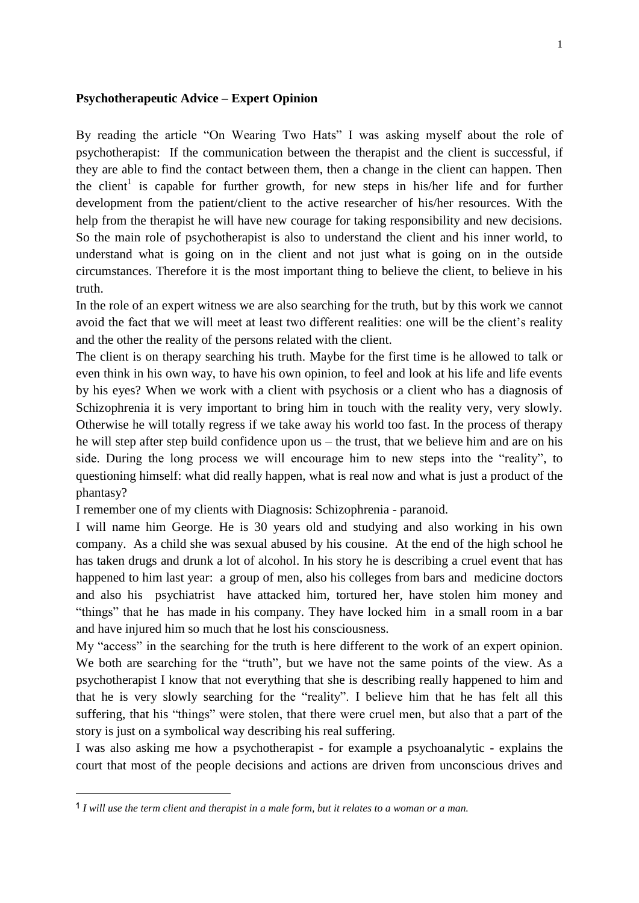## **Psychotherapeutic Advice – Expert Opinion**

By reading the article "On Wearing Two Hats" I was asking myself about the role of psychotherapist: If the communication between the therapist and the client is successful, if they are able to find the contact between them, then a change in the client can happen. Then the client<sup>1</sup> is capable for further growth, for new steps in his/her life and for further development from the patient/client to the active researcher of his/her resources. With the help from the therapist he will have new courage for taking responsibility and new decisions. So the main role of psychotherapist is also to understand the client and his inner world, to understand what is going on in the client and not just what is going on in the outside circumstances. Therefore it is the most important thing to believe the client, to believe in his truth.

In the role of an expert witness we are also searching for the truth, but by this work we cannot avoid the fact that we will meet at least two different realities: one will be the client's reality and the other the reality of the persons related with the client.

The client is on therapy searching his truth. Maybe for the first time is he allowed to talk or even think in his own way, to have his own opinion, to feel and look at his life and life events by his eyes? When we work with a client with psychosis or a client who has a diagnosis of Schizophrenia it is very important to bring him in touch with the reality very, very slowly. Otherwise he will totally regress if we take away his world too fast. In the process of therapy he will step after step build confidence upon us – the trust, that we believe him and are on his side. During the long process we will encourage him to new steps into the "reality", to questioning himself: what did really happen, what is real now and what is just a product of the phantasy?

I remember one of my clients with Diagnosis: Schizophrenia - paranoid.

I will name him George. He is 30 years old and studying and also working in his own company. As a child she was sexual abused by his cousine. At the end of the high school he has taken drugs and drunk a lot of alcohol. In his story he is describing a cruel event that has happened to him last year: a group of men, also his colleges from bars and medicine doctors and also his psychiatrist have attacked him, tortured her, have stolen him money and "things" that he has made in his company. They have locked him in a small room in a bar and have injured him so much that he lost his consciousness.

My "access" in the searching for the truth is here different to the work of an expert opinion. We both are searching for the "truth", but we have not the same points of the view. As a psychotherapist I know that not everything that she is describing really happened to him and that he is very slowly searching for the "reality". I believe him that he has felt all this suffering, that his "things" were stolen, that there were cruel men, but also that a part of the story is just on a symbolical way describing his real suffering.

I was also asking me how a psychotherapist - for example a psychoanalytic - explains the court that most of the people decisions and actions are driven from unconscious drives and

**<sup>1</sup>** *I will use the term client and therapist in a male form, but it relates to a woman or a man.*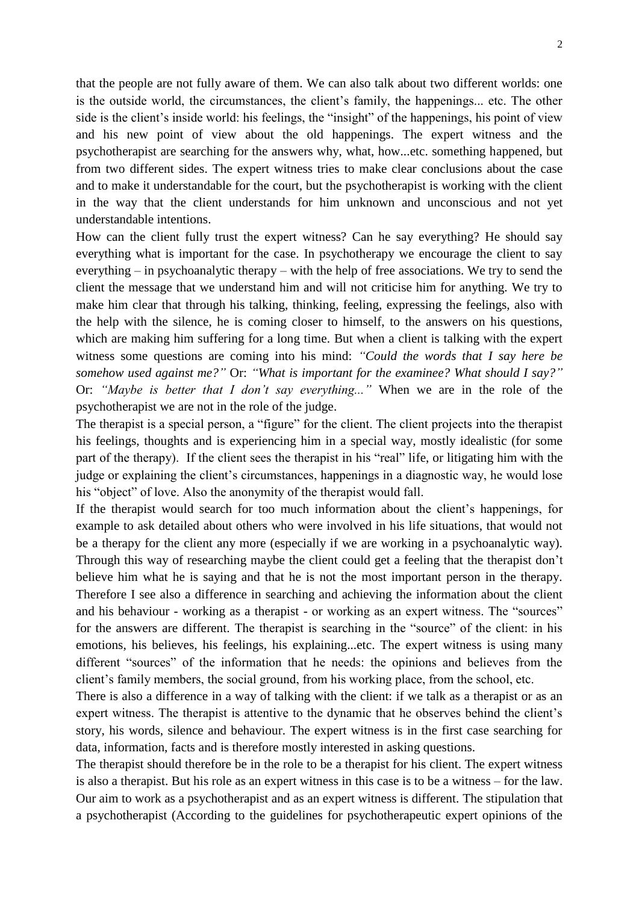that the people are not fully aware of them. We can also talk about two different worlds: one is the outside world, the circumstances, the client's family, the happenings... etc. The other side is the client's inside world: his feelings, the "insight" of the happenings, his point of view and his new point of view about the old happenings. The expert witness and the psychotherapist are searching for the answers why, what, how...etc. something happened, but from two different sides. The expert witness tries to make clear conclusions about the case and to make it understandable for the court, but the psychotherapist is working with the client in the way that the client understands for him unknown and unconscious and not yet understandable intentions.

How can the client fully trust the expert witness? Can he say everything? He should say everything what is important for the case. In psychotherapy we encourage the client to say everything – in psychoanalytic therapy – with the help of free associations. We try to send the client the message that we understand him and will not criticise him for anything. We try to make him clear that through his talking, thinking, feeling, expressing the feelings, also with the help with the silence, he is coming closer to himself, to the answers on his questions, which are making him suffering for a long time. But when a client is talking with the expert witness some questions are coming into his mind: *"Could the words that I say here be somehow used against me?"* Or: *"What is important for the examinee? What should I say?"* Or: *"Maybe is better that I don't say everything..."* When we are in the role of the psychotherapist we are not in the role of the judge.

The therapist is a special person, a "figure" for the client. The client projects into the therapist his feelings, thoughts and is experiencing him in a special way, mostly idealistic (for some part of the therapy). If the client sees the therapist in his "real" life, or litigating him with the judge or explaining the client's circumstances, happenings in a diagnostic way, he would lose his "object" of love. Also the anonymity of the therapist would fall.

If the therapist would search for too much information about the client's happenings, for example to ask detailed about others who were involved in his life situations, that would not be a therapy for the client any more (especially if we are working in a psychoanalytic way). Through this way of researching maybe the client could get a feeling that the therapist don't believe him what he is saying and that he is not the most important person in the therapy. Therefore I see also a difference in searching and achieving the information about the client and his behaviour - working as a therapist - or working as an expert witness. The "sources" for the answers are different. The therapist is searching in the "source" of the client: in his emotions, his believes, his feelings, his explaining...etc. The expert witness is using many different "sources" of the information that he needs: the opinions and believes from the client's family members, the social ground, from his working place, from the school, etc.

There is also a difference in a way of talking with the client: if we talk as a therapist or as an expert witness. The therapist is attentive to the dynamic that he observes behind the client's story, his words, silence and behaviour. The expert witness is in the first case searching for data, information, facts and is therefore mostly interested in asking questions.

The therapist should therefore be in the role to be a therapist for his client. The expert witness is also a therapist. But his role as an expert witness in this case is to be a witness – for the law. Our aim to work as a psychotherapist and as an expert witness is different. The stipulation that a psychotherapist (According to the guidelines for psychotherapeutic expert opinions of the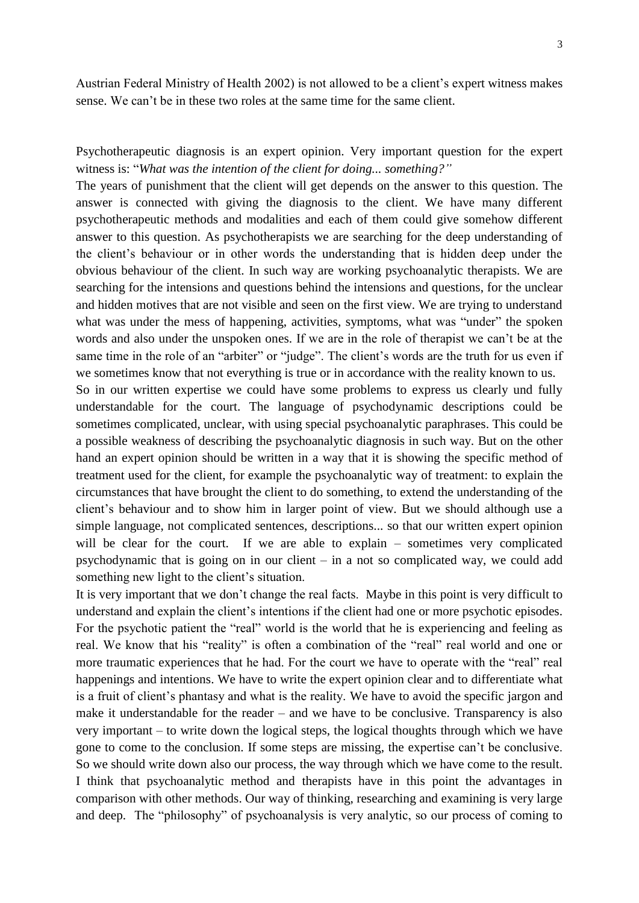Austrian Federal Ministry of Health 2002) is not allowed to be a client's expert witness makes sense. We can't be in these two roles at the same time for the same client.

Psychotherapeutic diagnosis is an expert opinion. Very important question for the expert witness is: "*What was the intention of the client for doing... something?"*

The years of punishment that the client will get depends on the answer to this question. The answer is connected with giving the diagnosis to the client. We have many different psychotherapeutic methods and modalities and each of them could give somehow different answer to this question. As psychotherapists we are searching for the deep understanding of the client's behaviour or in other words the understanding that is hidden deep under the obvious behaviour of the client. In such way are working psychoanalytic therapists. We are searching for the intensions and questions behind the intensions and questions, for the unclear and hidden motives that are not visible and seen on the first view. We are trying to understand what was under the mess of happening, activities, symptoms, what was "under" the spoken words and also under the unspoken ones. If we are in the role of therapist we can't be at the same time in the role of an "arbiter" or "judge". The client's words are the truth for us even if we sometimes know that not everything is true or in accordance with the reality known to us.

So in our written expertise we could have some problems to express us clearly und fully understandable for the court. The language of psychodynamic descriptions could be sometimes complicated, unclear, with using special psychoanalytic paraphrases. This could be a possible weakness of describing the psychoanalytic diagnosis in such way. But on the other hand an expert opinion should be written in a way that it is showing the specific method of treatment used for the client, for example the psychoanalytic way of treatment: to explain the circumstances that have brought the client to do something, to extend the understanding of the client's behaviour and to show him in larger point of view. But we should although use a simple language, not complicated sentences, descriptions... so that our written expert opinion will be clear for the court. If we are able to explain – sometimes very complicated psychodynamic that is going on in our client – in a not so complicated way, we could add something new light to the client's situation.

It is very important that we don't change the real facts. Maybe in this point is very difficult to understand and explain the client's intentions if the client had one or more psychotic episodes. For the psychotic patient the "real" world is the world that he is experiencing and feeling as real. We know that his "reality" is often a combination of the "real" real world and one or more traumatic experiences that he had. For the court we have to operate with the "real" real happenings and intentions. We have to write the expert opinion clear and to differentiate what is a fruit of client's phantasy and what is the reality. We have to avoid the specific jargon and make it understandable for the reader – and we have to be conclusive. Transparency is also very important – to write down the logical steps, the logical thoughts through which we have gone to come to the conclusion. If some steps are missing, the expertise can't be conclusive. So we should write down also our process, the way through which we have come to the result. I think that psychoanalytic method and therapists have in this point the advantages in comparison with other methods. Our way of thinking, researching and examining is very large and deep. The "philosophy" of psychoanalysis is very analytic, so our process of coming to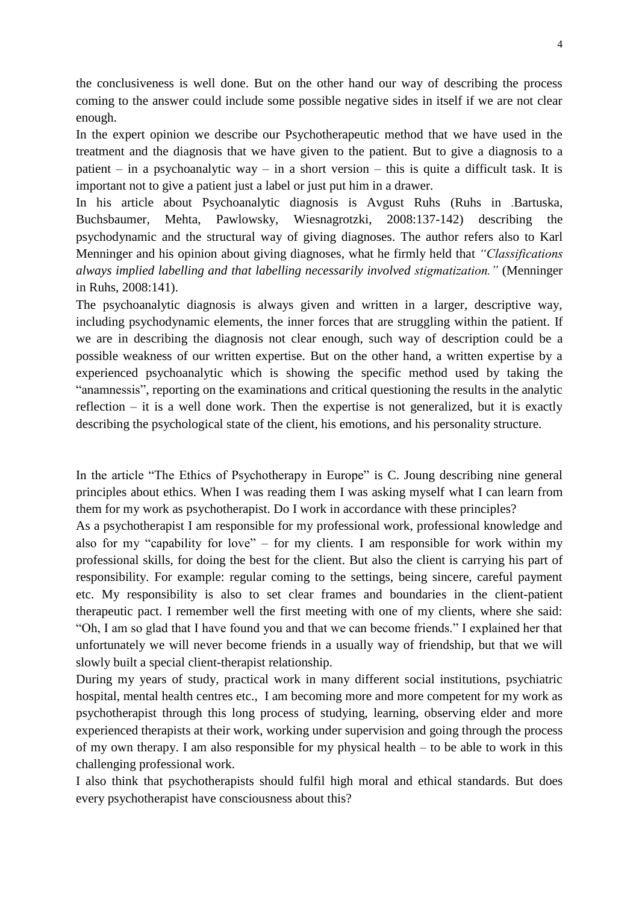the conclusiveness is well done. But on the other hand our way of describing the process coming to the answer could include some possible negative sides in itself if we are not clear enough.

In the expert opinion we describe our Psychotherapeutic method that we have used in the treatment and the diagnosis that we have given to the patient. But to give a diagnosis to a patient – in a psychoanalytic way – in a short version – this is quite a difficult task. It is important not to give a patient just a label or just put him in a drawer.

In his article about Psychoanalytic diagnosis is Avgust Ruhs (Ruhs in *.*Bartuska, Buchsbaumer, Mehta, Pawlowsky, Wiesnagrotzki, 2008:137-142) describing the psychodynamic and the structural way of giving diagnoses. The author refers also to Karl Menninger and his opinion about giving diagnoses, what he firmly held that *"Classifications always implied labelling and that labelling necessarily involved stigmatization."* (Menninger in Ruhs, 2008:141).

The psychoanalytic diagnosis is always given and written in a larger, descriptive way, including psychodynamic elements, the inner forces that are struggling within the patient. If we are in describing the diagnosis not clear enough, such way of description could be a possible weakness of our written expertise. But on the other hand, a written expertise by a experienced psychoanalytic which is showing the specific method used by taking the "anamnessis", reporting on the examinations and critical questioning the results in the analytic reflection – it is a well done work. Then the expertise is not generalized, but it is exactly describing the psychological state of the client, his emotions, and his personality structure.

In the article "The Ethics of Psychotherapy in Europe" is C. Joung describing nine general principles about ethics. When I was reading them I was asking myself what I can learn from them for my work as psychotherapist. Do I work in accordance with these principles?

As a psychotherapist I am responsible for my professional work, professional knowledge and also for my "capability for love" – for my clients. I am responsible for work within my professional skills, for doing the best for the client. But also the client is carrying his part of responsibility. For example: regular coming to the settings, being sincere, careful payment etc. My responsibility is also to set clear frames and boundaries in the client-patient therapeutic pact. I remember well the first meeting with one of my clients, where she said: "Oh, I am so glad that I have found you and that we can become friends." I explained her that unfortunately we will never become friends in a usually way of friendship, but that we will slowly built a special client-therapist relationship.

During my years of study, practical work in many different social institutions, psychiatric hospital, mental health centres etc., I am becoming more and more competent for my work as psychotherapist through this long process of studying, learning, observing elder and more experienced therapists at their work, working under supervision and going through the process of my own therapy. I am also responsible for my physical health – to be able to work in this challenging professional work.

I also think that psychotherapists should fulfil high moral and ethical standards. But does every psychotherapist have consciousness about this?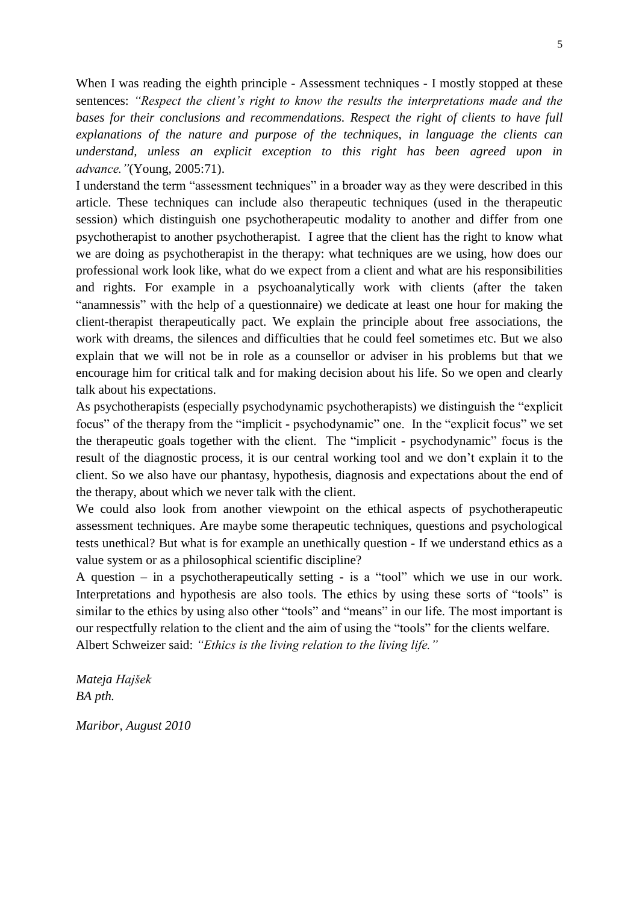When I was reading the eighth principle - Assessment techniques - I mostly stopped at these sentences: *"Respect the client's right to know the results the interpretations made and the*  bases for their conclusions and recommendations. Respect the right of clients to have full *explanations of the nature and purpose of the techniques, in language the clients can understand, unless an explicit exception to this right has been agreed upon in advance."*(Young, 2005:71).

I understand the term "assessment techniques" in a broader way as they were described in this article. These techniques can include also therapeutic techniques (used in the therapeutic session) which distinguish one psychotherapeutic modality to another and differ from one psychotherapist to another psychotherapist. I agree that the client has the right to know what we are doing as psychotherapist in the therapy: what techniques are we using, how does our professional work look like, what do we expect from a client and what are his responsibilities and rights. For example in a psychoanalytically work with clients (after the taken "anamnessis" with the help of a questionnaire) we dedicate at least one hour for making the client-therapist therapeutically pact. We explain the principle about free associations, the work with dreams, the silences and difficulties that he could feel sometimes etc. But we also explain that we will not be in role as a counsellor or adviser in his problems but that we encourage him for critical talk and for making decision about his life. So we open and clearly talk about his expectations.

As psychotherapists (especially psychodynamic psychotherapists) we distinguish the "explicit focus" of the therapy from the "implicit - psychodynamic" one. In the "explicit focus" we set the therapeutic goals together with the client. The "implicit - psychodynamic" focus is the result of the diagnostic process, it is our central working tool and we don't explain it to the client. So we also have our phantasy, hypothesis, diagnosis and expectations about the end of the therapy, about which we never talk with the client.

We could also look from another viewpoint on the ethical aspects of psychotherapeutic assessment techniques. Are maybe some therapeutic techniques, questions and psychological tests unethical? But what is for example an unethically question - If we understand ethics as a value system or as a philosophical scientific discipline?

A question – in a psychotherapeutically setting - is a "tool" which we use in our work. Interpretations and hypothesis are also tools. The ethics by using these sorts of "tools" is similar to the ethics by using also other "tools" and "means" in our life. The most important is our respectfully relation to the client and the aim of using the "tools" for the clients welfare. Albert Schweizer said: *"Ethics is the living relation to the living life."*

*Mateja Hajšek BA pth.*

*Maribor, August 2010*